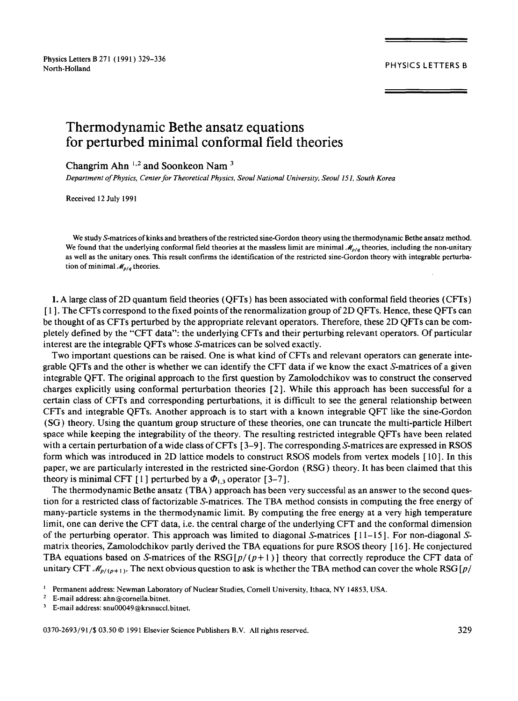Physics Letters B 271 ( 1991 ) 329-336 north-Holland PHYSICS LETTERS B<br>North-Holland PHYSICS LETTERS B

# **Thermodynamic Bethe ansatz equations for perturbed minimal conformal field theories**

Changrim Ahn<sup>1,2</sup> and Soonkeon Nam<sup>3</sup>

*Department of Physics, Center for Theoretical Physics, Seoul National University, Seou1151, South Korea* 

Received 12 July 1991

We study S-matrices of kinks and breathers of the restricted sine-Gordon theory using the thermodynamic Bethe ansatz method. We found that the underlying conformal field theories at the massless limit are minimal  $\mathcal{M}_{p/q}$  theories, including the non-unitary as well as the unitary ones. This result confirms the identification of the restricted sine-Gordon theory with integrable perturbation of minimal  $\mathcal{M}_{p/q}$  theories.

1. A large class of 2D quantum field theories (QFTs) has been associated with conformal field theories (CFTs) [ 1 ]. The CFTs correspond to the fixed points of the renormalization group of2D QFTs. Hence, these QFTs can be thought of as CFTs perturbed by the appropriate relevant operators. Therefore, these 2D QFTs can be completely defined by the "CFT data": the underlying CFTs and their perturbing relevant operators. Of particular interest are the integrable QFTs whose S-matrices can be solved exactly.

Two important questions can be raised. One is what kind of CFTs and relevant operators can generate integrable QFTs and the other is whether we can identify the CFT data if we know the exact S-matrices of a given integrable QFT. The original approach to the first question by Zamolodchikov was to construct the conserved charges explicitly using conformal perturbation theories [2 ]. While this approach has been successful for a certain class of CFTs and corresponding perturbations, it is difficult to see the general relationship between CFTs and integrable QFTs. Another approach is to start with a known integrable QFT like the sine-Gordon (SG) theory. Using the quantum group structure of these theories, one can truncate the multi-particle Hilbert space while keeping the integrability of the theory. The resulting restricted integrable QFTs have been related with a certain perturbation of a wide class of CFTs [3-9]. The corresponding S-matrices are expressed in RSOS form which was introduced in 2D lattice models to construct RSOS models from vertex models [ 10 ]. In this paper, we are particularly interested in the restricted sine-Gordon (RSG) theory. It has been claimed that this theory is minimal CFT [1] perturbed by a  $\Phi_{1,3}$  operator [3-7].

The thermodynamic Bethe ansatz (TBA) approach has been very successful as an answer to the second question for a restricted class of factorizable S-matrices. The TBA method consists in computing the free energy of many-particle systems in the thermodynamic limit. By computing the free energy at a very high temperature limit, one can derive the CFT data, i.e. the central charge of the underlying CFT and the conformal dimension of the perturbing operator. This approach was limited to diagonal S-matrices [ 11-15 ]. For non-diagonal Smatrix theories, Zamolodchikov partly derived the TBA equations for pure RSOS theory [ 16 ]. He conjectured TBA equations based on S-matrices of the RSG  $[p/(p+1)]$  theory that correctly reproduce the CFT data of unitary CFT  $\mathcal{M}_{p/(p+1)}$ . The next obvious question to ask is whether the TBA method can cover the whole RSG  $[p/$ 

0370-2693/91/\$ 03.50 © 1991 Elsevier Science Publishers B.V. All rights reserved. 329

<sup>&</sup>lt;sup>1</sup> Permanent address: Newman Laboratory of Nuclear Studies, Cornell University, Ithaca, NY 14853, USA.<br><sup>2</sup> E-mail address: ahn@cornella bitnet

<sup>2</sup> E-mail address: ahn@cornella.bitnet.

<sup>&</sup>lt;sup>3</sup> E-mail address: snu00049@krsnuccl.bitnet.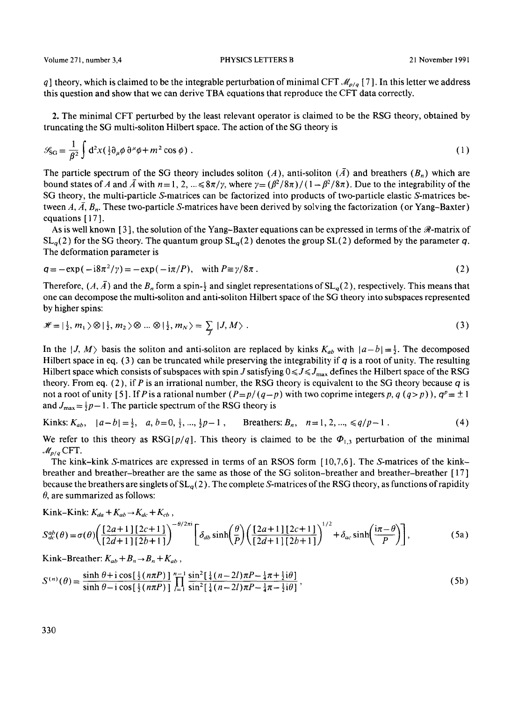Volume 271, number 3,4 PHYSICS LETTERS B 21 November 1991

q] theory, which is claimed to be the integrable perturbation of minimal CFT  $\mathcal{M}_{p/q}$  [7]. In this letter we address this question and show that we can derive TBA equations that reproduce the CFT data correctly.

2. The minimal CFT perturbed by the least relevant operator is claimed to be the RSG theory, obtained by truncating the SG multi-soliton Hilbert space. The action of the SG theory is

$$
\mathcal{G}_{SG} = \frac{1}{\beta^2} \int d^2x (\tfrac{1}{2} \partial_\mu \phi \, \partial^\mu \phi + m^2 \cos \phi) \; . \tag{1}
$$

The particle spectrum of the SG theory includes soliton (A), anti-soliton ( $\overline{A}$ ) and breathers ( $B_n$ ) which are bound states of A and  $\bar{A}$  with  $n = 1, 2, ... \le 8\pi/\gamma$ , where  $\gamma = (\beta^2/8\pi)/(1-\beta^2/8\pi)$ . Due to the integrability of the SG theory, the multi-particle S-matrices can be factorized into products of two-particle elastic S-matrices between  $A, \bar{A}, B_n$ . These two-particle S-matrices have been derived by solving the factorization (or Yang-Baxter) equations [17].

As is well known [3], the solution of the Yang-Baxter equations can be expressed in terms of the  $\Re$ -matrix of  $SL_q(2)$  for the SG theory. The quantum group  $SL_q(2)$  denotes the group  $SL(2)$  deformed by the parameter q. The deformation parameter is

$$
q = -\exp(-i8\pi^2/\gamma) = -\exp(-i\pi/P), \quad \text{with } P \equiv \gamma/8\pi \,.
$$

Therefore,  $(A, \overline{A})$  and the  $B_n$  form a spin- $\frac{1}{2}$  and singlet representations of  $SL_q(2)$ , respectively. This means that one can decompose the multi-soliton and anti-soliton Hilbert space of the SG theory into subspaces represented by higher spins:

$$
\mathscr{H} = \left| \frac{1}{2}, m_1 \right\rangle \otimes \left| \frac{1}{2}, m_2 \right\rangle \otimes \ldots \otimes \left| \frac{1}{2}, m_N \right\rangle = \sum_{J} |J, M \rangle \tag{3}
$$

In the  $|J, M\rangle$  basis the soliton and anti-soliton are replaced by kinks  $K_{ab}$  with  $|a-b| = \frac{1}{2}$ . The decomposed Hilbert space in eq. (3) can be truncated while preserving the integrability if q is a root of unity. The resulting Hilbert space which consists of subspaces with spin J satisfying  $0 \le J \le J_{\text{max}}$  defines the Hilbert space of the RSG theory. From eq. (2), if P is an irrational number, the RSG theory is equivalent to the SG theory because  $q$  is not a root of unity [5]. If P is a rational number  $(P = p/(q-p))$  with two coprime integers p, q  $(q > p)$ ),  $q^p = \pm 1$ and  $J_{\text{max}} = \frac{1}{2}p-1$ . The particle spectrum of the RSG theory is

Kinks: 
$$
K_{ab}
$$
,  $|a-b| = \frac{1}{2}$ ,  $a, b=0, \frac{1}{2}, ..., \frac{1}{2}p-1$ ,   
Breathers:  $B_n$ ,  $n=1, 2, ..., \le q/p-1$ . (4)

We refer to this theory as  $RSG[p/q]$ . This theory is claimed to be the  $\Phi_{1,3}$  perturbation of the minimal  $\mathcal{M}_{p/q}$  CFT.

The kink-kink S-matrices are expressed in terms of an RSOS form [10,7,6]. The S-matrices of the kinkbreather and breather-breather are the same as those of the SG soliton-breather and breather-breather [ 17 ] because the breathers are singlets of  $SL_q(2)$ . The complete S-matrices of the RSG theory, as functions of rapidity  $\theta$ , are summarized as follows:

$$
Kink-Kink: K_{da}+K_{ab}\rightarrow K_{dc}+K_{cb}
$$

$$
S_{dc}^{ab}(\theta) = \sigma(\theta) \left( \frac{\left[2a+1\right]\left[2c+1\right]}{\left[2d+1\right]\left[2b+1\right]} \right)^{-\theta/2\pi i} \left[ \delta_{ab} \sinh\left(\frac{\theta}{P}\right) \left( \frac{\left[2a+1\right]\left[2c+1\right]}{\left[2d+1\right]\left[2b+1\right]} \right)^{1/2} + \delta_{ac} \sinh\left(\frac{i\pi-\theta}{P}\right) \right],\tag{5a}
$$

Kink-Breather:  $K_{ab} + B_n \rightarrow B_n + K_{ab}$ ,

$$
S^{(n)}(\theta) = \frac{\sinh \theta + i \cos \left[\frac{1}{2} (n\pi P)\right]}{\sinh \theta - i \cos \left[\frac{1}{2} (n\pi P)\right]} \prod_{l=1}^{n-1} \frac{\sin^2 \left[\frac{1}{4} (n-2l)\pi P - \frac{1}{4} \pi + \frac{1}{2} \mathrm{i} \theta\right]}{\sin^2 \left[\frac{1}{4} (n-2l)\pi P - \frac{1}{4} \pi - \frac{1}{2} \mathrm{i} \theta\right]},\tag{5b}
$$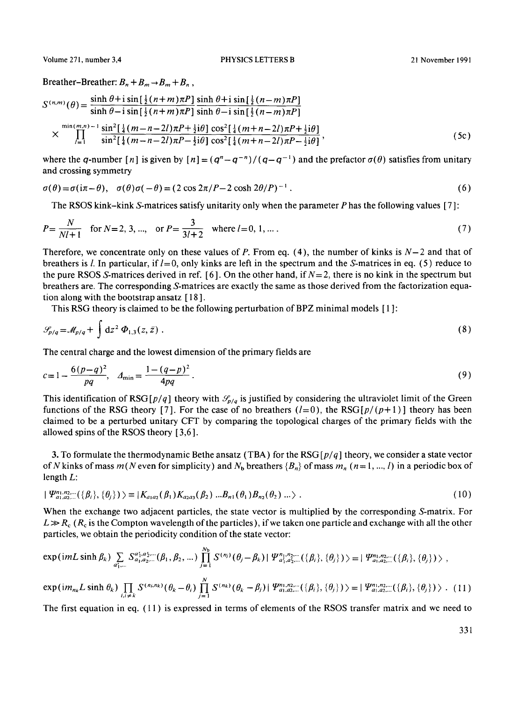Breather-Breather:  $B_n + B_m \rightarrow B_m + B_n$ ,

$$
S^{(n,m)}(\theta) = \frac{\sinh \theta + i \sin[\frac{1}{2}(n+m)\pi P]}{\sinh \theta - i \sin[\frac{1}{2}(n+m)\pi P]} \frac{\sinh \theta + i \sin[\frac{1}{2}(n-m)\pi P]}{\sinh \theta - i \sin[\frac{1}{2}(n-m)\pi P]}
$$
  
 
$$
\times \prod_{i=1}^{\min(m,n)-1} \frac{\sin^2[\frac{1}{4}(m-n-2i)\pi P + \frac{1}{2}i\theta] \cos^2[\frac{1}{4}(m+n-2i)\pi P + \frac{1}{2}i\theta]}{\sin^2[\frac{1}{4}(m-n-2i)\pi P - \frac{1}{2}i\theta] \cos^2[\frac{1}{4}(m+n-2i)\pi P - \frac{1}{2}i\theta]},
$$
 (5c)

where the q-number [n] is given by  $[n] = (q^n - q^{-n})/(q - q^{-1})$  and the prefactor  $\sigma(\theta)$  satisfies from unitary and crossing symmetry

$$
\sigma(\theta) = \sigma(i\pi - \theta), \quad \sigma(\theta)\sigma(-\theta) = (2\cos 2\pi/P - 2\cosh 2\theta/P)^{-1}.
$$
\n(6)

The RSOS kink-kink S-matrices satisfy unitarity only when the parameter P has the following values [ 7 ]:

$$
P = \frac{N}{Nl+1} \quad \text{for } N = 2, 3, \dots, \quad \text{or } P = \frac{3}{3l+2} \quad \text{where } l = 0, 1, \dots.
$$
 (7)

Therefore, we concentrate only on these values of P. From eq. (4), the number of kinks is  $N-2$  and that of breathers is l. In particular, if  $l=0$ , only kinks are left in the spectrum and the S-matrices in eq. (5) reduce to the pure RSOS S-matrices derived in ref. [6]. On the other hand, if  $N=2$ , there is no kink in the spectrum but breathers are. The corresponding S-matrices are exactly the same as those derived from the factorization equation along with the bootstrap ansatz [ 18 ].

This RSG theory is claimed to be the following perturbation of BPZ minimal models [ 1 ]:

$$
\mathcal{G}_{p/q} = \mathcal{M}_{p/q} + \int dz^2 \, \Phi_{1,3}(z, \bar{z}) \,. \tag{8}
$$

The central charge and the lowest dimension of the primary fields are

$$
c = 1 - \frac{6(p - q)^2}{pq}, \quad A_{\min} = \frac{1 - (q - p)^2}{4pq}.
$$
\n(9)

This identification of RSG  $[p/q]$  theory with  $\mathcal{S}_{p/q}$  is justified by considering the ultraviolet limit of the Green functions of the RSG theory [7]. For the case of no breathers  $(l=0)$ , the RSG  $[p/(p+1)]$  theory has been claimed to be a perturbed unitary CFT by comparing the topological charges of the primary fields with the allowed spins of the RSOS theory [ 3,6].

3. To formulate the thermodynamic Bethe ansatz (TBA) for the RSG *[p/q* ] theory, we consider a state vector of N kinks of mass  $m(N \text{ even for simplicity})$  and  $N_{\text{b}}$  breathers  ${B_n}$  of mass  $m_n$  (n=1, ..., l) in a periodic box of length L:

$$
|\Psi_{a_1,a_2,...}^{n_1,n_2,...}(\{\beta_i\},\{\theta_j\})\rangle \equiv |K_{a_1a_2}(\beta_1)K_{a_2a_3}(\beta_2) ... B_{n1}(\theta_1)B_{n2}(\theta_2) ... \rangle. \tag{10}
$$

When the exchange two adjacent particles, the state vector is multiplied by the corresponding S-matrix. For  $L \gg R_c$  ( $R_c$  is the Compton wavelength of the particles), if we taken one particle and exchange with all the other particles, we obtain the periodicity condition of the state vector:

$$
\exp\left(imL\sinh\beta_{k}\right) \sum_{a'_{1},\dots} S^{a'_{1},a'_{2},\dots}_{a_{1},a_{2},\dots}(\beta_{1},\beta_{2},\dots)\prod_{j=1}^{N_{b}} S^{(n_{j})}(\theta_{j}-\beta_{k})|\Psi^{n_{1},n_{2},\dots}_{a'_{1},a'_{2},\dots}(\{\beta_{i}\},\{\theta_{j}\})\rangle = |\Psi^{n_{1},n_{2},\dots}_{a_{1},a_{2},\dots}(\{\beta_{i}\},\{\theta_{j}\})\rangle,
$$
  
\n
$$
\exp\left(im_{n_{k}}L\sinh\theta_{k}\right) \prod_{i,j\neq k} S^{(n_{i},n_{k})}(\theta_{k}-\theta_{i})\prod_{j=1}^{N} S^{(n_{k})}(\theta_{k}-\beta_{j})|\Psi^{n_{1},n_{2},\dots}_{a_{1},a'_{2},\dots}(\{\beta_{i}\},\{\theta_{j}\})\rangle = |\Psi^{n_{1},n_{2},\dots}_{a_{1},a_{2},\dots}(\{\beta_{i}\},\{\theta_{j}\})\rangle. (11)
$$

The first equation in eq. (11) is expressed in terms of elements of the RSOS transfer matrix and we need to

331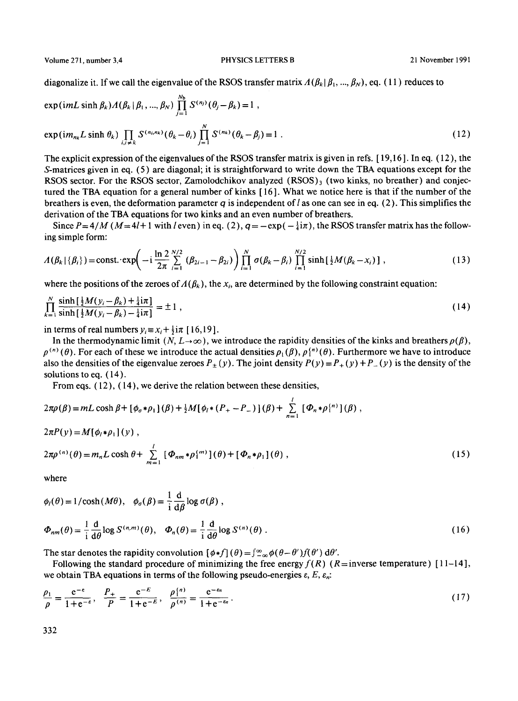Volume 271, number 3,4 PHYSICS LETTERS B 21 November 1991

diagonalize it. If we call the eigenvalue of the RSOS transfer matrix  $A(\beta_k|\beta_1, ..., \beta_N)$ , eq. (11) reduces to

$$
\exp\left(imL\sinh\beta_{k}\right)A(\beta_{k}|\beta_{1},...,\beta_{N})\prod_{j=1}^{N_{b}}S^{(n_{j})}(\theta_{j}-\beta_{k})=1,
$$
  
\n
$$
\exp\left(im_{nk}L\sinh\theta_{k}\right)\prod_{i,j\neq k}S^{(n_{i},n_{k})}(\theta_{k}-\theta_{i})\prod_{j=1}^{N}S^{(n_{k})}(\theta_{k}-\beta_{j})=1.
$$
\n(12)

The explicit expression of the eigenvalues of the RSOS transfer matrix is given in refs. [ 19,16 ]. In eq. (12), the S-matrices given in eq. (5) are diagonal; it is straightforward to write down the TBA equations except for the RSOS sector. For the RSOS sector, Zamolodchikov analyzed  $(RSOS)_3$  (two kinks, no breather) and conjectured the TBA equation for a general number of kinks [ 16 ]. What we notice here is that if the number of the breathers is even, the deformation parameter q is independent of l as one can see in eq. (2). This simplifies the derivation of the TBA equations for two kinks and an even number of breathers.

Since  $P=4/M$  ( $M=4l+1$  with *l* even) in eq. (2),  $q=-\exp(-\frac{1}{4}i\pi)$ , the RSOS transfer matrix has the following simple form:

$$
A(\beta_k | \{\beta_i\}) = \text{const.} \cdot \exp\left(-i\frac{\ln 2}{2\pi} \sum_{i=1}^{N/2} (\beta_{2i-1} - \beta_{2i})\right) \prod_{i=1}^N \sigma(\beta_k - \beta_i) \prod_{i=1}^{N/2} \sinh\left[\frac{1}{2}M(\beta_k - x_i)\right],
$$
 (13)

where the positions of the zeroes of  $A(\beta_k)$ , the  $x_i$ , are determined by the following constraint equation:

$$
\prod_{k=1}^{N} \frac{\sinh\left[\frac{1}{2}M(y_i - \beta_k) + \frac{1}{4}\mathrm{i}\pi\right]}{\sinh\left[\frac{1}{2}M(y_i - \beta_k) - \frac{1}{4}\mathrm{i}\pi\right]} = \pm 1\,,\tag{14}
$$

in terms of real numbers  $y_i = x_i + \frac{1}{2}i\pi$  [16,19].

In the thermodynamic limit  $(N, L \to \infty)$ , we introduce the rapidity densities of the kinks and breathers  $\rho(\beta)$ ,  $\rho^{(n)}(\theta)$ . For each of these we introduce the actual densities  $\rho_1(\beta)$ ,  $\rho_1^{(n)}(\theta)$ . Furthermore we have to introduce also the densities of the eigenvalue zeroes  $P_+(y)$ . The joint density  $P(y) = P_+(y) + P_-(y)$  is the density of the solutions to eq.  $(14)$ .

From eqs.  $(12)$ ,  $(14)$ , we derive the relation between these densities,

$$
2\pi \rho(\beta) = mL \cosh \beta + [\phi_{\sigma} * \rho_1](\beta) + \frac{1}{2}M[\phi_i * (P_+ - P_-)](\beta) + \sum_{n=1}^l [\Phi_n * \rho_1^{(n)}](\beta) ,
$$

$$
2\pi P(y) = M[\phi_i * \rho_1](y) ,
$$
  
\n
$$
2\pi \rho^{(n)}(\theta) = m_n L \cosh \theta + \sum_{m=1}^{l} [\Phi_{nm} * \rho^{(m)}](\theta) + [\Phi_n * \rho_1](\theta) ,
$$
\n(15)

where

$$
\phi_{l}(\theta) = 1/\cosh(M\theta), \quad \phi_{\sigma}(\beta) = \frac{1}{i} \frac{d}{d\beta} \log \sigma(\beta),
$$
\n
$$
\Phi_{nm}(\theta) = \frac{1}{i} \frac{d}{d\theta} \log S^{(n,m)}(\theta), \quad \Phi_{n}(\theta) = \frac{1}{i} \frac{d}{d\theta} \log S^{(n)}(\theta).
$$
\n(16)

The star denotes the rapidity convolution  $[\phi * f](\theta) = \int_{-\infty}^{\infty} \phi(\theta - \theta') f(\theta') d\theta'$ .

Following the standard procedure of minimizing the free energy  $f(R)$  ( $R =$  inverse temperature) [11-14], we obtain TBA equations in terms of the following pseudo-energies  $\varepsilon$ ,  $E$ ,  $\varepsilon_n$ :

$$
\frac{\rho_1}{\rho} = \frac{e^{-\varepsilon}}{1 + e^{-\varepsilon}}, \quad \frac{P_+}{P} = \frac{e^{-E}}{1 + e^{-E}}, \quad \frac{\rho_1^{(n)}}{\rho^{(n)}} = \frac{e^{-\varepsilon_n}}{1 + e^{-\varepsilon_n}}.
$$
\n(17)

332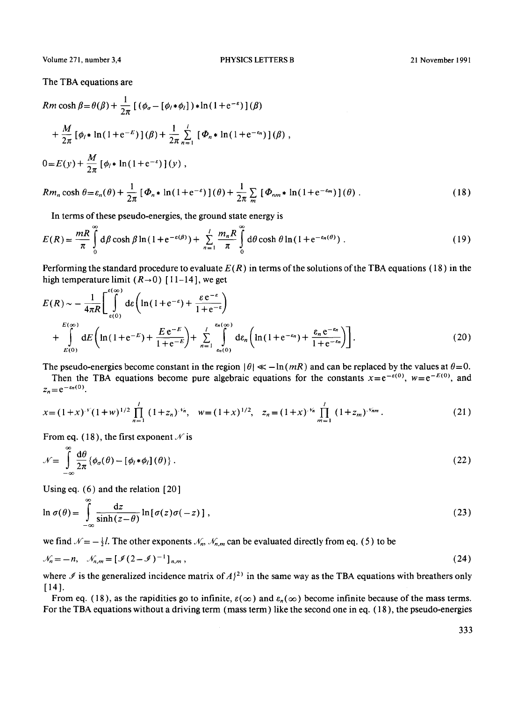Volume 271, number 3,4 PHYSICS LETTERS B

The TBA equations are

$$
Rm \cosh \beta = \theta(\beta) + \frac{1}{2\pi} \left[ (\phi_{\sigma} - [\phi_l * \phi_l]) * \ln(1 + e^{-\epsilon}) \right](\beta)
$$
  
+ 
$$
\frac{M}{2\pi} [\phi_l * \ln(1 + e^{-E})](\beta) + \frac{1}{2\pi} \sum_{n=1}^{l} [\Phi_n * \ln(1 + e^{-\epsilon_n})](\beta),
$$
  

$$
0 = E(y) + \frac{M}{2\pi} [\phi_l * \ln(1 + e^{-\epsilon})](y),
$$
  

$$
Rm_n \cosh \theta = \varepsilon_n(\theta) + \frac{1}{2\pi} [\Phi_n * \ln(1 + e^{-\epsilon})](\theta) + \frac{1}{2\pi} \sum_{m} [\Phi_{nm} * \ln(1 + e^{-\epsilon_m})](\theta).
$$
 (18)

In terms of these pseudo-energies, the ground state energy is

$$
E(R) = \frac{mR}{\pi} \int_{0}^{\infty} d\beta \cosh \beta \ln(1 + e^{-\varepsilon(\beta)}) + \sum_{n=1}^{l} \frac{m_n R}{\pi} \int_{0}^{\infty} d\theta \cosh \theta \ln(1 + e^{-\varepsilon_n(\theta)})
$$
 (19)

Performing the standard procedure to evaluate  $E(R)$  in terms of the solutions of the TBA equations (18) in the high temperature limit  $(R\rightarrow 0)$  [11-14], we get  $\sim$ 

$$
E(R) \sim -\frac{1}{4\pi R} \left[ \int_{\epsilon(0)}^{\infty} d\varepsilon \left( \ln(1 + e^{-\varepsilon}) + \frac{\varepsilon e^{-\varepsilon}}{1 + e^{-\varepsilon}} \right) + \int_{\epsilon(0)}^{\epsilon_0} dE \left( \ln(1 + e^{-\varepsilon}) + \frac{E e^{-\varepsilon}}{1 + e^{-\varepsilon}} \right) + \int_{n=1}^{\epsilon_n(\infty)} d\varepsilon_n \left( \ln(1 + e^{-\varepsilon_n}) + \frac{\varepsilon_n e^{-\varepsilon_n}}{1 + e^{-\varepsilon_n}} \right) \right].
$$
 (20)

The pseudo-energies become constant in the region  $|\theta| \ll -\ln(mR)$  and can be replaced by the values at  $\theta = 0$ .

Then the TBA equations become pure algebraic equations for the constants  $x=e^{-\varepsilon(0)}$ ,  $w=e^{-E(0)}$ , and  $z_n = e^{-\varepsilon_n(0)}$ .

$$
x = (1+x)^{v} (1+w)^{1/2} \prod_{n=1}^{l} (1+z_n)^{v_n}, \quad w = (1+x)^{1/2}, \quad z_n = (1+x)^{v_n} \prod_{m=1}^{l} (1+z_m)^{v_{nm}}.
$$
 (21)

From eq. (18), the first exponent  $\mathcal N$  is

$$
\mathcal{N} = \int_{-\infty}^{\infty} \frac{d\theta}{2\pi} \{ \phi_{\sigma}(\theta) - [\phi_{l} * \phi_{l}](\theta) \} .
$$
 (22)

Using eq. (6) and the relation [20]

$$
\ln \sigma(\theta) = \int_{-\infty}^{\infty} \frac{\mathrm{d}z}{\sinh(z-\theta)} \ln [\sigma(z)\sigma(-z)], \qquad (23)
$$

we find  $\mathcal{N} = -\frac{1}{2}l$ . The other exponents  $\mathcal{N}_n$ ,  $\mathcal{N}_{n,m}$  can be evaluated directly from eq. (5) to be

$$
\mathcal{N}_n = -n, \quad \mathcal{N}_{n,m} = [\mathcal{I}(2-\mathcal{I})^{-1}]_{n,m}, \tag{24}
$$

where  $\Im$  is the generalized incidence matrix of  $A_1^{(2)}$  in the same way as the TBA equations with breathers only [14].

From eq. (18), as the rapidities go to infinite,  $\varepsilon(\infty)$  and  $\varepsilon_n(\infty)$  become infinite because of the mass terms. For the TBA equations without a driving term (mass term) like the second one in eq. (18), the pseudo-energies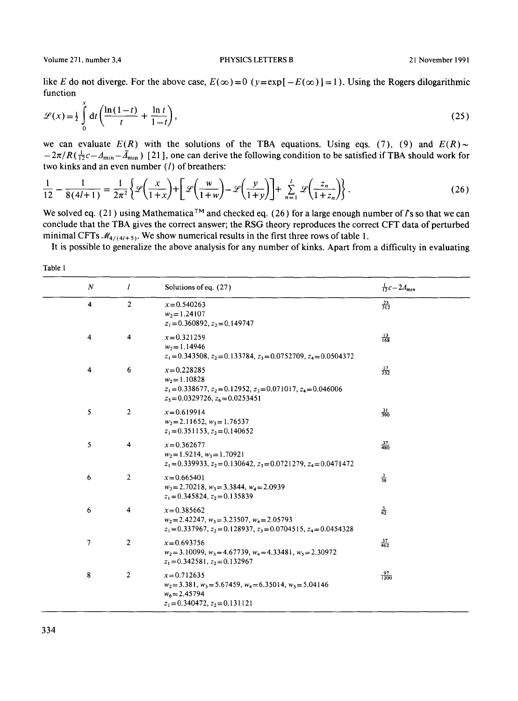Volume 271, number 3,4 PHYSICS LETTERS B 21 November 1991

like E do not diverge. For the above case,  $E(\infty) = 0$  ( $y = exp[-E(\infty)] = 1$ ). Using the Rogers dilogarithmic function

$$
\mathcal{L}(x) = \frac{1}{2} \int_{0}^{x} dt \left( \frac{\ln(1-t)}{t} + \frac{\ln t}{1-t} \right),\tag{25}
$$

we can evaluate  $E(R)$  with the solutions of the TBA equations. Using eqs. (7), (9) and  $E(R) \sim$  $-2\pi/R(\frac{1}{12}c-A_{\text{min}}-\bar{A}_{\text{min}})$  [21], one can derive the following condition to be satisfied if TBA should work for two kinks and an even number  $(l)$  of breathers:

$$
\frac{1}{12} - \frac{1}{8(4l+1)} = \frac{1}{2\pi^2} \left\{ \mathcal{L} \left( \frac{x}{1+x} \right) + \left[ \mathcal{L} \left( \frac{w}{1+w} \right) - \mathcal{L} \left( \frac{y}{1+y} \right) \right] + \sum_{n=1}^{l} \mathcal{L} \left( \frac{z_n}{1+z_n} \right) \right\}.
$$
 (26)

We solved eq. (21) using Mathematica<sup>TM</sup> and checked eq. (26) for a large enough number of  $\ell$ 's so that we can conclude that the TBA gives the correct answer; the RSG theory reproduces the correct CFT data of perturbed minimal CFTs  $\mathcal{M}_{4/(4/5)}$ . We show numerical results in the first three rows of table 1.

It is possible to generalize the above analysis for any number of kinks. Apart from a difficulty in evaluating

|--|--|

| $\cal N$                | I              | Solutions of eq. (27)                                                                                                                                | $\frac{1}{12}c - 24$ <sub>min</sub> |
|-------------------------|----------------|------------------------------------------------------------------------------------------------------------------------------------------------------|-------------------------------------|
| 4                       | $\overline{2}$ | $x = 0.540263$<br>$w_2$ = 1.24107<br>$z_1 = 0.360892$ , $z_2 = 0.149747$                                                                             | $rac{23}{312}$                      |
| $\overline{\mathbf{4}}$ | 4              | $x=0.321259$<br>$w_2$ = 1.14946<br>$z_1 = 0.343508$ , $z_2 = 0.133784$ , $z_3 = 0.0752709$ , $z_4 = 0.0504372$                                       | $\frac{13}{168}$                    |
| $\overline{\bf 4}$      | 6              | $x=0.228285$<br>$w_2$ = 1.10828<br>$z_1 = 0.338677$ , $z_2 = 0.12952$ , $z_3 = 0.071017$ , $z_4 = 0.046006$<br>$z_5 = 0.0329726$ , $z_6 = 0.0253451$ | $\frac{17}{232}$                    |
| 5                       | $\overline{2}$ | $x=0.619914$<br>$w_2$ = 2.11652, $w_3$ = 1.76537<br>$z_1 = 0.351153$ , $z_2 = 0.140652$                                                              | $\frac{31}{390}$                    |
| 5                       | 4              | $x=0.362677$<br>$w_2$ = 1.9214, $w_3$ = 1.70921<br>$z_1 = 0.339933$ , $z_2 = 0.130642$ , $z_3 = 0.0721279$ , $z_4 = 0.0471472$                       | $\frac{37}{480}$                    |
| 6                       | $\overline{2}$ | $x=0.665401$<br>$w_2$ = 2.70218, $w_3$ = 3.3844, $w_4$ = 2.0939<br>$z_1 = 0.345824$ , $z_2 = 0.135839$                                               | $\frac{3}{38}$                      |
| 6                       | 4              | $x = 0.385662$<br>$w_2 = 2.42247$ , $w_3 = 3.23507$ , $w_4 = 2.05793$<br>$z_1 = 0.337967$ , $z_2 = 0.128937$ , $z_3 = 0.0704515$ , $z_4 = 0.0454328$ | $\frac{5}{62}$                      |
| 7                       | 2              | $x=0.693756$<br>$w_2 = 3.10099$ , $w_3 = 4.67739$ , $w_4 = 4.33481$ , $w_5 = 2.30972$<br>$z_1 = 0.342581, z_2 = 0.132967$                            | $\frac{37}{462}$                    |
| 8                       | 2              | $x=0.712635$<br>$w_2 = 3.381$ , $w_3 = 5.67459$ , $w_4 = 6.35014$ , $w_5 = 5.04146$<br>$w_6 = 2.45794$<br>$z_1 = 0.340472$ , $z_2 = 0.131121$        | $\frac{97}{1200}$                   |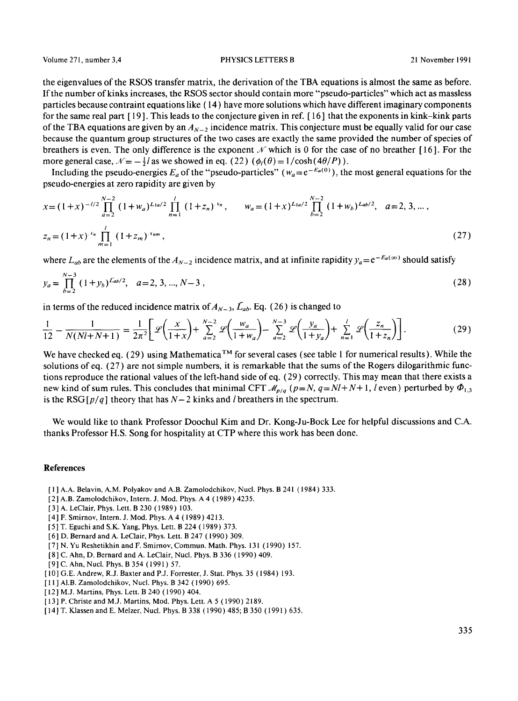the eigenvalues of the RSOS transfer matrix, the derivation of the TBA equations is almost the same as before. If the number of kinks increases, the RSOS sector should contain more "pseudo-particles" which act as massless particles because contraint equations like (14) have more solutions which have different imaginary components for the same real part [ 19 ]. This leads to the conjecture given in ref. [ 16 ] that the exponents in kink-kink parts of the TBA equations are given by an  $A_{N-2}$  incidence matrix. This conjecture must be equally valid for our case because the quantum group structures of the two cases are exactly the same provided the number of species of breathers is even. The only difference is the exponent  $\mathcal N$  which is 0 for the case of no breather [16]. For the more general case,  $\mathcal{N} = -\frac{1}{2}l$  as we showed in eq. (22)  $(\phi_i(\theta) = 1/\cosh(4\theta/P))$ .

Including the pseudo-energies  $E_a$  of the "pseudo-particles" ( $w_a = e^{-E_a(0)}$ ), the most general equations for the pseudo-energies at zero rapidity are given by

$$
x = (1+x)^{-1/2} \prod_{a=2}^{N-2} (1+w_a)^{L+a/2} \prod_{n=1}^{l} (1+z_n)^{v_n}, \qquad w_a = (1+x)^{L+a/2} \prod_{b=2}^{N-2} (1+w_b)^{Lab/2}, \quad a=2,3,...,
$$
  

$$
z_n = (1+x)^{v_n} \prod_{m=1}^{l} (1+z_m)^{v_{nm}}, \qquad (27)
$$

where  $L_{ab}$  are the elements of the  $A_{N-2}$  incidence matrix, and at infinite rapidity  $y_a = e^{-E_a(\infty)}$  should satisfy

$$
y_a = \prod_{b=2}^{N-3} (1 + y_b)^{L_{ab}/2}, \quad a = 2, 3, ..., N-3,
$$
 (28)

in terms of the reduced incidence matrix of  $A_{N-3}$ ,  $\bar{L}_{ab}$ . Eq. (26) is changed to

$$
\frac{1}{12} - \frac{1}{N(Nl + N + 1)} = \frac{1}{2\pi^2} \bigg[ \mathcal{L} \bigg( \frac{x}{1+x} \bigg) + \sum_{a=2}^{N-2} \mathcal{L} \bigg( \frac{w_a}{1+w_a} \bigg) - \sum_{a=2}^{N-3} \mathcal{L} \bigg( \frac{y_a}{1+y_a} \bigg) + \sum_{n=1}^{l} \mathcal{L} \bigg( \frac{z_n}{1+z_n} \bigg) \bigg].
$$
 (29)

We have checked eq. (29) using Mathematica<sup>TM</sup> for several cases (see table 1 for numerical results). While the solutions of eq. (27) are not simple numbers, it is remarkable that the sums of the Rogers dilogarithmic functions reproduce the rational values of the left-hand side of eq. (29) correctly. This may mean that there exists a new kind of sum rules. This concludes that minimal CFT  $M_{p/q}$  ( $p=N$ ,  $q=Nl+N+1$ , *l* even) perturbed by  $\Phi_{1,3}$ is the RSG  $\lceil p/q \rceil$  theory that has  $N-2$  kinks and *l* breathers in the spectrum.

We would like to thank Professor Doochul Kim and Dr. Kong-Ju-Bock Lee for helpful discussions and C.A. thanks Professor H.S. Song for hospitality at CTP where this work has been done.

## **References**

- [ 1 ] A.A. Belavin, A.M. Polyakov and A.B. Zamolodchikov, Nucl. Phys. B 241 (1984) 333.
- [2 ] A.B. Zamolodchikov, Intern. J. Mod. Phys. A 4 ( 1989 ) 4235.
- [3] A. LeClair, Phys. Lett. B 230 (1989) 103.
- [ 4 ] F. Smirnov, Intern. J. Mod. Phys. A 4 (1989) 4213.
- [5] T. Eguchi and S.K. Yang, Phys. Lett. B 224 (1989) 373.
- [6] D. Bernard and A. LeClair, Phys. Lett. B 247 (1990) 309.
- [7] N. Yu Reshetikhin and F. Smirnov, Commun. Math. Phys, 131 (1990) 157.
- [8] C. Ahn, D. Bernard and A. LeClair, Nucl. Phys. B 336 (1990) 409.
- [9] C. Ahn, Nucl. Phys. B 354 (1991) 57.
- [ 10] G.E. Andrew, R.J. Baxter and P.J. Forrester, J. Stat. Phys. 35 (1984) 193.
- [ 11 ] AI.B. Zamolodchikov, Nucl. Phys. B 342 (1990) 695.
- [12] M.J. Martins, Phys. Lett. B 240 (1990) 404.
- [ 13] P. Christe and M.J. Martins, Mod. Phys. Lett. A 5 (1990) 2189.
- [ 14] T. Klassen and E. Melzer, Nucl. Phys. B 338 (1990) 485; B 350 ( 1991 ) 635.